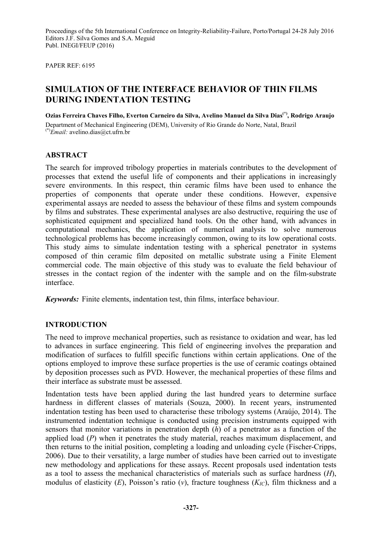PAPER REF: 6195

# **SIMULATION OF THE INTERFACE BEHAVIOR OF THIN FILMS DURING INDENTATION TESTING**

**Ozias Ferreira Chaves Filho, Everton Carneiro da Silva, Avelino Manuel da Silva Dias(\*), Rodrigo Araujo**  Department of Mechanical Engineering (DEM), University of Rio Grande do Norte, Natal, Brazil (\*)*Email:* avelino.dias@ct.ufrn.br

## **ABSTRACT**

The search for improved tribology properties in materials contributes to the development of processes that extend the useful life of components and their applications in increasingly severe environments. In this respect, thin ceramic films have been used to enhance the properties of components that operate under these conditions. However, expensive experimental assays are needed to assess the behaviour of these films and system compounds by films and substrates. These experimental analyses are also destructive, requiring the use of sophisticated equipment and specialized hand tools. On the other hand, with advances in computational mechanics, the application of numerical analysis to solve numerous technological problems has become increasingly common, owing to its low operational costs. This study aims to simulate indentation testing with a spherical penetrator in systems composed of thin ceramic film deposited on metallic substrate using a Finite Element commercial code. The main objective of this study was to evaluate the field behaviour of stresses in the contact region of the indenter with the sample and on the film-substrate interface.

*Keywords:* Finite elements, indentation test, thin films, interface behaviour.

# **INTRODUCTION**

The need to improve mechanical properties, such as resistance to oxidation and wear, has led to advances in surface engineering. This field of engineering involves the preparation and modification of surfaces to fulfill specific functions within certain applications. One of the options employed to improve these surface properties is the use of ceramic coatings obtained by deposition processes such as PVD. However, the mechanical properties of these films and their interface as substrate must be assessed.

Indentation tests have been applied during the last hundred years to determine surface hardness in different classes of materials (Souza, 2000). In recent years, instrumented indentation testing has been used to characterise these tribology systems (Araújo, 2014). The instrumented indentation technique is conducted using precision instruments equipped with sensors that monitor variations in penetration depth (*h*) of a penetrator as a function of the applied load (*P*) when it penetrates the study material, reaches maximum displacement, and then returns to the initial position, completing a loading and unloading cycle (Fischer-Cripps, 2006). Due to their versatility, a large number of studies have been carried out to investigate new methodology and applications for these assays. Recent proposals used indentation tests as a tool to assess the mechanical characteristics of materials such as surface hardness (*H*), modulus of elasticity (*E*), Poisson's ratio (*ν*), fracture toughness (*KIC*), film thickness and a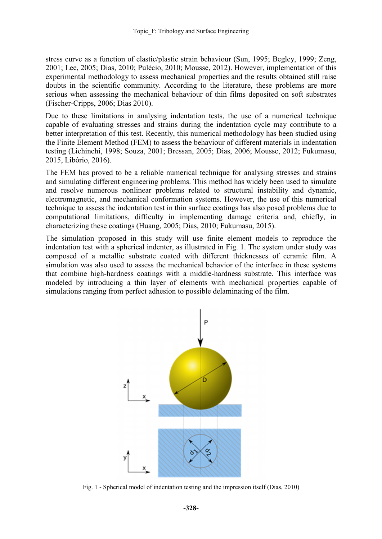stress curve as a function of elastic/plastic strain behaviour (Sun, 1995; Begley, 1999; Zeng, 2001; Lee, 2005; Dias, 2010; Pulécio, 2010; Mousse, 2012). However, implementation of this experimental methodology to assess mechanical properties and the results obtained still raise doubts in the scientific community. According to the literature, these problems are more serious when assessing the mechanical behaviour of thin films deposited on soft substrates (Fischer-Cripps, 2006; Dias 2010).

Due to these limitations in analysing indentation tests, the use of a numerical technique capable of evaluating stresses and strains during the indentation cycle may contribute to a better interpretation of this test. Recently, this numerical methodology has been studied using the Finite Element Method (FEM) to assess the behaviour of different materials in indentation testing (Lichinchi, 1998; Souza, 2001; Bressan, 2005; Dias, 2006; Mousse, 2012; Fukumasu, 2015, Libório, 2016).

The FEM has proved to be a reliable numerical technique for analysing stresses and strains and simulating different engineering problems. This method has widely been used to simulate and resolve numerous nonlinear problems related to structural instability and dynamic, electromagnetic, and mechanical conformation systems. However, the use of this numerical technique to assess the indentation test in thin surface coatings has also posed problems due to computational limitations, difficulty in implementing damage criteria and, chiefly, in characterizing these coatings (Huang, 2005; Dias, 2010; Fukumasu, 2015).

The simulation proposed in this study will use finite element models to reproduce the indentation test with a spherical indenter, as illustrated in Fig. 1. The system under study was composed of a metallic substrate coated with different thicknesses of ceramic film. A simulation was also used to assess the mechanical behavior of the interface in these systems that combine high-hardness coatings with a middle-hardness substrate. This interface was modeled by introducing a thin layer of elements with mechanical properties capable of simulations ranging from perfect adhesion to possible delaminating of the film.



Fig. 1 - Spherical model of indentation testing and the impression itself (Dias, 2010)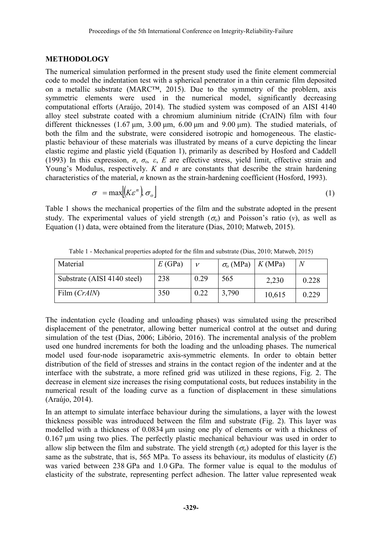#### **METHODOLOGY**

The numerical simulation performed in the present study used the finite element commercial code to model the indentation test with a spherical penetrator in a thin ceramic film deposited on a metallic substrate (MARC™, 2015). Due to the symmetry of the problem, axis symmetric elements were used in the numerical model, significantly decreasing computational efforts (Araújo, 2014). The studied system was composed of an AISI 4140 alloy steel substrate coated with a chromium aluminium nitride (CrAlN) film with four different thicknesses  $(1.67 \text{ µm}, 3.00 \text{ µm}, 6.00 \text{ µm}$  and  $9.00 \text{ µm}$ ). The studied materials, of both the film and the substrate, were considered isotropic and homogeneous. The elasticplastic behaviour of these materials was illustrated by means of a curve depicting the linear elastic regime and plastic yield (Equation 1), primarily as described by Hosford and Caddell (1993) In this expression,  $\sigma$ ,  $\sigma$ <sub>*o*</sub>,  $\varepsilon$ , *E* are effective stress, yield limit, effective strain and Young's Modulus, respectively. *K* and *n* are constants that describe the strain hardening characteristics of the material, *n* known as the strain-hardening coefficient (Hosford, 1993).

$$
\sigma = \max[(K\varepsilon^n), \sigma_o] \tag{1}
$$

Table 1 shows the mechanical properties of the film and the substrate adopted in the present study. The experimental values of yield strength  $(\sigma_o)$  and Poisson's ratio (*v*), as well as Equation (1) data, were obtained from the literature (Dias, 2010; Matweb, 2015).

| Material                    | E(GPa) |      | $\sigma$ <sub>o</sub> (MPa)   K (MPa) |        | $\overline{N}$ |
|-----------------------------|--------|------|---------------------------------------|--------|----------------|
| Substrate (AISI 4140 steel) | 238    | 0.29 | 565                                   | 2,230  | 0.228          |
| Film ( <i>CrAlN</i> )       | 350    | 0.22 | 3,790                                 | 10,615 | 0.229          |

Table 1 - Mechanical properties adopted for the film and substrate (Dias, 2010; Matweb, 2015)

The indentation cycle (loading and unloading phases) was simulated using the prescribed displacement of the penetrator, allowing better numerical control at the outset and during simulation of the test (Dias, 2006; Libório, 2016). The incremental analysis of the problem used one hundred increments for both the loading and the unloading phases. The numerical model used four-node isoparametric axis-symmetric elements. In order to obtain better distribution of the field of stresses and strains in the contact region of the indenter and at the interface with the substrate, a more refined grid was utilized in these regions, Fig. 2. The decrease in element size increases the rising computational costs, but reduces instability in the numerical result of the loading curve as a function of displacement in these simulations (Araújo, 2014).

In an attempt to simulate interface behaviour during the simulations, a layer with the lowest thickness possible was introduced between the film and substrate (Fig. 2). This layer was modelled with a thickness of 0.0834  $\mu$ m using one ply of elements or with a thickness of 0.167 µm using two plies. The perfectly plastic mechanical behaviour was used in order to allow slip between the film and substrate. The yield strength  $(\sigma_o)$  adopted for this layer is the same as the substrate, that is, 565 MPa. To assess its behaviour, its modulus of elasticity (*E*) was varied between 238 GPa and 1.0 GPa. The former value is equal to the modulus of elasticity of the substrate, representing perfect adhesion. The latter value represented weak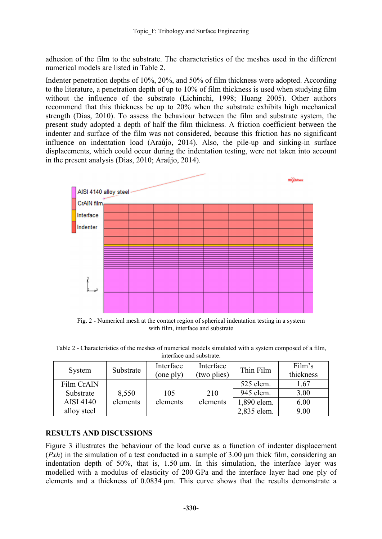adhesion of the film to the substrate. The characteristics of the meshes used in the different numerical models are listed in Table 2.

Indenter penetration depths of 10%, 20%, and 50% of film thickness were adopted. According to the literature, a penetration depth of up to 10% of film thickness is used when studying film without the influence of the substrate (Lichinchi, 1998; Huang 2005). Other authors recommend that this thickness be up to 20% when the substrate exhibits high mechanical strength (Dias, 2010). To assess the behaviour between the film and substrate system, the present study adopted a depth of half the film thickness. A friction coefficient between the indenter and surface of the film was not considered, because this friction has no significant influence on indentation load (Araújo, 2014). Also, the pile-up and sinking-in surface displacements, which could occur during the indentation testing, were not taken into account in the present analysis (Dias, 2010; Araújo, 2014).



Fig. 2 - Numerical mesh at the contact region of spherical indentation testing in a system with film, interface and substrate

Table 2 - Characteristics of the meshes of numerical models simulated with a system composed of a film, interface and substrate.

| System           | Substrate | Interface<br>(one ply) | Interface<br>(two plies) | Thin Film   | Film's<br>thickness |
|------------------|-----------|------------------------|--------------------------|-------------|---------------------|
| Film CrAlN       |           |                        |                          | 525 elem.   | 1.67                |
| Substrate        | 8,550     | 105                    | 210                      | 945 elem.   | 3.00                |
| <b>AISI 4140</b> | elements  | elements               | elements                 | 1,890 elem. | 6.00                |
| alloy steel      |           |                        |                          | 2,835 elem. | 9.00                |

#### **RESULTS AND DISCUSSIONS**

Figure 3 illustrates the behaviour of the load curve as a function of indenter displacement  $(Pxh)$  in the simulation of a test conducted in a sample of 3.00  $\mu$ m thick film, considering an indentation depth of  $50\%$ , that is,  $1.50 \mu m$ . In this simulation, the interface layer was modelled with a modulus of elasticity of 200 GPa and the interface layer had one ply of elements and a thickness of 0.0834 µm. This curve shows that the results demonstrate a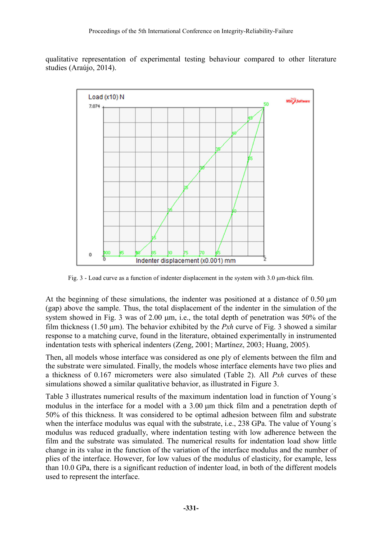qualitative representation of experimental testing behaviour compared to other literature studies (Araújo, 2014).



Fig. 3 - Load curve as a function of indenter displacement in the system with 3.0  $\mu$ m-thick film.

At the beginning of these simulations, the indenter was positioned at a distance of  $0.50 \mu m$ (gap) above the sample. Thus, the total displacement of the indenter in the simulation of the system showed in Fig. 3 was of  $2.00 \mu m$ , i.e., the total depth of penetration was  $50\%$  of the film thickness (1.50 µm). The behavior exhibited by the *Pxh* curve of Fig. 3 showed a similar response to a matching curve, found in the literature, obtained experimentally in instrumented indentation tests with spherical indenters (Zeng, 2001; Martínez, 2003; Huang, 2005).

Then, all models whose interface was considered as one ply of elements between the film and the substrate were simulated. Finally, the models whose interface elements have two plies and a thickness of 0.167 micrometers were also simulated (Table 2). All *Pxh* curves of these simulations showed a similar qualitative behavior, as illustrated in Figure 3.

Table 3 illustrates numerical results of the maximum indentation load in function of Young´s modulus in the interface for a model with a 3.00 µm thick film and a penetration depth of 50% of this thickness. It was considered to be optimal adhesion between film and substrate when the interface modulus was equal with the substrate, i.e., 238 GPa. The value of Young's modulus was reduced gradually, where indentation testing with low adherence between the film and the substrate was simulated. The numerical results for indentation load show little change in its value in the function of the variation of the interface modulus and the number of plies of the interface. However, for low values of the modulus of elasticity, for example, less than 10.0 GPa, there is a significant reduction of indenter load, in both of the different models used to represent the interface.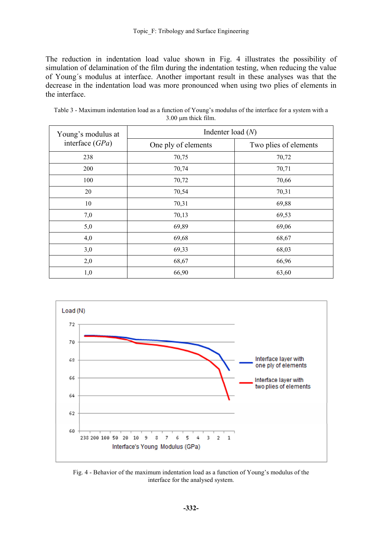The reduction in indentation load value shown in Fig. 4 illustrates the possibility of simulation of delamination of the film during the indentation testing, when reducing the value of Young´s modulus at interface. Another important result in these analyses was that the decrease in the indentation load was more pronounced when using two plies of elements in the interface.

| Young's modulus at<br>interface $(GPa)$ | Indenter load $(N)$ |                       |  |  |
|-----------------------------------------|---------------------|-----------------------|--|--|
|                                         | One ply of elements | Two plies of elements |  |  |
| 238                                     | 70,75               | 70,72                 |  |  |
| 200                                     | 70,74               | 70,71                 |  |  |
| 100                                     | 70,72               | 70,66                 |  |  |
| 20                                      | 70,54               | 70,31                 |  |  |
| 10                                      | 70,31               | 69,88                 |  |  |
| 7,0                                     | 70,13               | 69,53                 |  |  |
| 5,0                                     | 69,89               | 69,06                 |  |  |
| 4,0                                     | 69,68               | 68,67                 |  |  |
| 3,0                                     | 69,33               | 68,03                 |  |  |
| 2,0                                     | 68,67               | 66,96                 |  |  |
| 1,0                                     | 66,90               | 63,60                 |  |  |

Table 3 - Maximum indentation load as a function of Young's modulus of the interface for a system with a 3.00 um thick film.



Fig. 4 - Behavior of the maximum indentation load as a function of Young's modulus of the interface for the analysed system.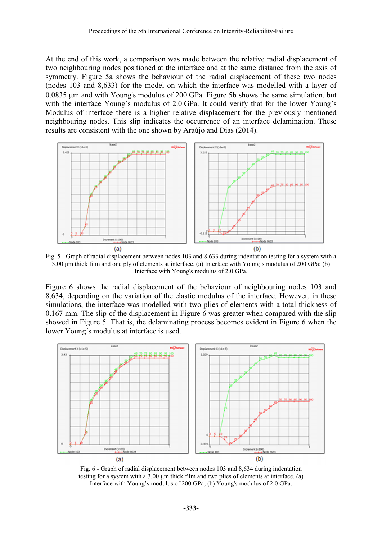At the end of this work, a comparison was made between the relative radial displacement of two neighbouring nodes positioned at the interface and at the same distance from the axis of symmetry. Figure 5a shows the behaviour of the radial displacement of these two nodes (nodes 103 and 8,633) for the model on which the interface was modelled with a layer of 0.0835 µm and with Young's modulus of 200 GPa. Figure 5b shows the same simulation, but with the interface Young´s modulus of 2.0 GPa. It could verify that for the lower Young's Modulus of interface there is a higher relative displacement for the previously mentioned neighbouring nodes. This slip indicates the occurrence of an interface delamination. These results are consistent with the one shown by Araújo and Dias (2014).



Fig. 5 - Graph of radial displacement between nodes 103 and 8,633 during indentation testing for a system with a 3.00 µm thick film and one ply of elements at interface. (a) Interface with Young's modulus of 200 GPa; (b) Interface with Young's modulus of 2.0 GPa.

Figure 6 shows the radial displacement of the behaviour of neighbouring nodes 103 and 8,634, depending on the variation of the elastic modulus of the interface. However, in these simulations, the interface was modelled with two plies of elements with a total thickness of 0.167 mm. The slip of the displacement in Figure 6 was greater when compared with the slip showed in Figure 5. That is, the delaminating process becomes evident in Figure 6 when the lower Young´s modulus at interface is used.



Fig. 6 - Graph of radial displacement between nodes 103 and 8,634 during indentation testing for a system with a 3.00 µm thick film and two plies of elements at interface. (a) Interface with Young's modulus of 200 GPa; (b) Young's modulus of 2.0 GPa.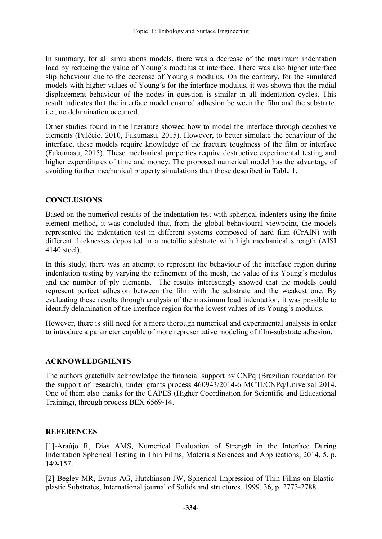In summary, for all simulations models, there was a decrease of the maximum indentation load by reducing the value of Young´s modulus at interface. There was also higher interface slip behaviour due to the decrease of Young´s modulus. On the contrary, for the simulated models with higher values of Young´s for the interface modulus, it was shown that the radial displacement behaviour of the nodes in question is similar in all indentation cycles. This result indicates that the interface model ensured adhesion between the film and the substrate, i.e., no delamination occurred.

Other studies found in the literature showed how to model the interface through decohesive elements (Pulécio, 2010, Fukumasu, 2015). However, to better simulate the behaviour of the interface, these models require knowledge of the fracture toughness of the film or interface (Fukumasu, 2015). These mechanical properties require destructive experimental testing and higher expenditures of time and money. The proposed numerical model has the advantage of avoiding further mechanical property simulations than those described in Table 1.

## **CONCLUSIONS**

Based on the numerical results of the indentation test with spherical indenters using the finite element method, it was concluded that, from the global behavioural viewpoint, the models represented the indentation test in different systems composed of hard film (CrAlN) with different thicknesses deposited in a metallic substrate with high mechanical strength (AISI 4140 steel).

In this study, there was an attempt to represent the behaviour of the interface region during indentation testing by varying the refinement of the mesh, the value of its Young´s modulus and the number of ply elements. The results interestingly showed that the models could represent perfect adhesion between the film with the substrate and the weakest one. By evaluating these results through analysis of the maximum load indentation, it was possible to identify delamination of the interface region for the lowest values of its Young´s modulus.

However, there is still need for a more thorough numerical and experimental analysis in order to introduce a parameter capable of more representative modeling of film-substrate adhesion.

#### **ACKNOWLEDGMENTS**

The authors gratefully acknowledge the financial support by CNPq (Brazilian foundation for the support of research), under grants process 460943/2014-6 MCTI/CNPq/Universal 2014. One of them also thanks for the CAPES (Higher Coordination for Scientific and Educational Training), through process BEX 6569-14.

#### **REFERENCES**

[1]-Araújo R, Dias AMS, Numerical Evaluation of Strength in the Interface During Indentation Spherical Testing in Thin Films, Materials Sciences and Applications, 2014, 5, p. 149-157.

[2]-Begley MR, Evans AG, Hutchinson JW, Spherical Impression of Thin Films on Elasticplastic Substrates, International journal of Solids and structures, 1999, 36, p. 2773-2788.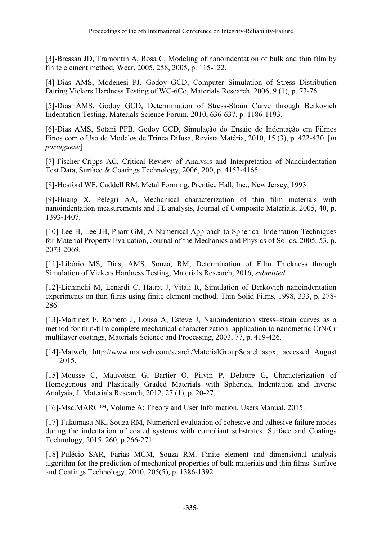[3]-Bressan JD, Tramontin A, Rosa C, Modeling of nanoindentation of bulk and thin film by finite element method, Wear, 2005, 258, 2005, p. 115-122.

[4]-Dias AMS, Modenesi PJ, Godoy GCD, Computer Simulation of Stress Distribution During Vickers Hardness Testing of WC-6Co, Materials Research, 2006, 9 (1), p. 73-76.

[5]-Dias AMS, Godoy GCD, Determination of Stress-Strain Curve through Berkovich Indentation Testing, Materials Science Forum, 2010, 636-637, p. 1186-1193.

[6]-Dias AMS, Sotani PFB, Godoy GCD, Simulação do Ensaio de Indentação em Filmes Finos com o Uso de Modelos de Trinca Difusa, Revista Matéria, 2010, 15 (3), p. 422-430. [*in portuguese*]

[7]-Fischer-Cripps AC, Critical Review of Analysis and Interpretation of Nanoindentation Test Data, Surface & Coatings Technology, 2006, 200, p. 4153-4165.

[8]-Hosford WF, Caddell RM, Metal Forming, Prentice Hall, Inc., New Jersey, 1993.

[9]-Huang X, Pelegri AA, Mechanical characterization of thin film materials with nanoindentation measurements and FE analysis, Journal of Composite Materials, 2005, 40, p. 1393-1407.

[10]-Lee H, Lee JH, Pharr GM, A Numerical Approach to Spherical Indentation Techniques for Material Property Evaluation, Journal of the Mechanics and Physics of Solids, 2005, 53, p. 2073-2069.

[11]-Libório MS, Dias, AMS, Souza, RM, Determination of Film Thickness through Simulation of Vickers Hardness Testing, Materials Research, 2016, *submitted*.

[12]-Lichinchi M, Lenardi C, Haupt J, Vitali R, Simulation of Berkovich nanoindentation experiments on thin films using finite element method, Thin Solid Films, 1998, 333, p. 278- 286.

[13]-Martínez E, Romero J, Lousa A, Esteve J, Nanoindentation stress–strain curves as a method for thin-film complete mechanical characterization: application to nanometric CrN/Cr multilayer coatings, Materials Science and Processing, 2003, 77, p. 419-426.

[14]-Matweb, http://www.matweb.com/search/MaterialGroupSearch.aspx, accessed August 2015.

[15]-Mousse C, Mauvoisin G, Bartier O, Pilvin P, Delattre G, Characterization of Homogenous and Plastically Graded Materials with Spherical Indentation and Inverse Analysis, J. Materials Research, 2012, 27 (1), p. 20-27.

[16]-Msc.MARC™, Volume A: Theory and User Information, Users Manual, 2015.

[17]-Fukumasu NK, Souza RM, Numerical evaluation of cohesive and adhesive failure modes during the indentation of coated systems with compliant substrates, Surface and Coatings Technology, 2015, 260, p.266-271.

[18]-Pulécio SAR, Farias MCM, Souza RM. Finite element and dimensional analysis algorithm for the prediction of mechanical properties of bulk materials and thin films. Surface and Coatings Technology, 2010, 205(5), p. 1386-1392.